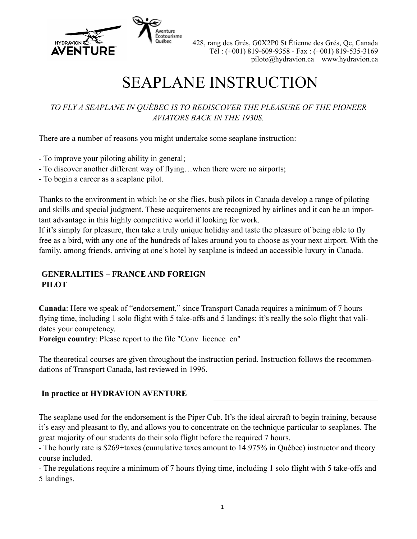

# SEAPLANE INSTRUCTION

## *TO FLY A SEAPLANE IN QUÉBEC IS TO REDISCOVER THE PLEASURE OF THE PIONEER AVIATORS BACK IN THE 1930S.*

There are a number of reasons you might undertake some seaplane instruction:

- To improve your piloting ability in general;
- To discover another different way of flying…when there were no airports;
- To begin a career as a seaplane pilot.

Thanks to the environment in which he or she flies, bush pilots in Canada develop a range of piloting and skills and special judgment. These acquirements are recognized by airlines and it can be an important advantage in this highly competitive world if looking for work.

If it's simply for pleasure, then take a truly unique holiday and taste the pleasure of being able to fly free as a bird, with any one of the hundreds of lakes around you to choose as your next airport. With the family, among friends, arriving at one's hotel by seaplane is indeed an accessible luxury in Canada.

## **GENERALITIES – FRANCE AND FOREIGN PILOT**

**Canada**: Here we speak of "endorsement," since Transport Canada requires a minimum of 7 hours flying time, including 1 solo flight with 5 take-offs and 5 landings; it's really the solo flight that validates your competency.

**Foreign country:** Please report to the file "Conv licence en"

The theoretical courses are given throughout the instruction period. Instruction follows the recommendations of Transport Canada, last reviewed in 1996.

## **In practice at HYDRAVION AVENTURE**

The seaplane used for the endorsement is the Piper Cub. It's the ideal aircraft to begin training, because it's easy and pleasant to fly, and allows you to concentrate on the technique particular to seaplanes. The great majority of our students do their solo flight before the required 7 hours.

- The hourly rate is \$269+taxes (cumulative taxes amount to 14.975% in Québec) instructor and theory course included.

- The regulations require a minimum of 7 hours flying time, including 1 solo flight with 5 take-offs and 5 landings.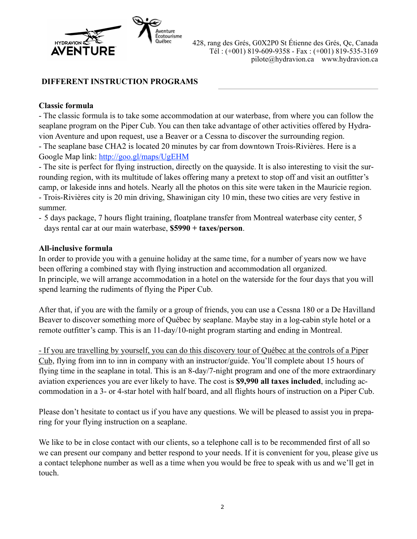

## **DIFFERENT INSTRUCTION PROGRAMS**

#### **Classic formula**

- The classic formula is to take some accommodation at our waterbase, from where you can follow the seaplane program on the Piper Cub. You can then take advantage of other activities offered by Hydravion Aventure and upon request, use a Beaver or a Cessna to discover the surrounding region. - The seaplane base CHA2 is located 20 minutes by car from downtown Trois-Rivières. Here is a Google Map link:<http://goo.gl/maps/UgEHM>

- The site is perfect for flying instruction, directly on the quayside. It is also interesting to visit the surrounding region, with its multitude of lakes offering many a pretext to stop off and visit an outfitter's camp, or lakeside inns and hotels. Nearly all the photos on this site were taken in the Mauricie region. - Trois-Rivières city is 20 min driving, Shawinigan city 10 min, these two cities are very festive in summer.

- 5 days package, 7 hours flight training, floatplane transfer from Montreal waterbase city center, 5 days rental car at our main waterbase, **\$5990 + taxes/person**.

#### **All-inclusive formula**

In order to provide you with a genuine holiday at the same time, for a number of years now we have been offering a combined stay with flying instruction and accommodation all organized. In principle, we will arrange accommodation in a hotel on the waterside for the four days that you will spend learning the rudiments of flying the Piper Cub.

After that, if you are with the family or a group of friends, you can use a Cessna 180 or a De Havilland Beaver to discover something more of Québec by seaplane. Maybe stay in a log-cabin style hotel or a remote outfitter's camp. This is an 11-day/10-night program starting and ending in Montreal.

- If you are travelling by yourself, you can do this discovery tour of Québec at the controls of a Piper Cub, flying from inn to inn in company with an instructor/guide. You'll complete about 15 hours of flying time in the seaplane in total. This is an 8-day/7-night program and one of the more extraordinary aviation experiences you are ever likely to have. The cost is **\$9,990 all taxes included**, including accommodation in a 3- or 4-star hotel with half board, and all flights hours of instruction on a Piper Cub.

Please don't hesitate to contact us if you have any questions. We will be pleased to assist you in preparing for your flying instruction on a seaplane.

We like to be in close contact with our clients, so a telephone call is to be recommended first of all so we can present our company and better respond to your needs. If it is convenient for you, please give us a contact telephone number as well as a time when you would be free to speak with us and we'll get in touch.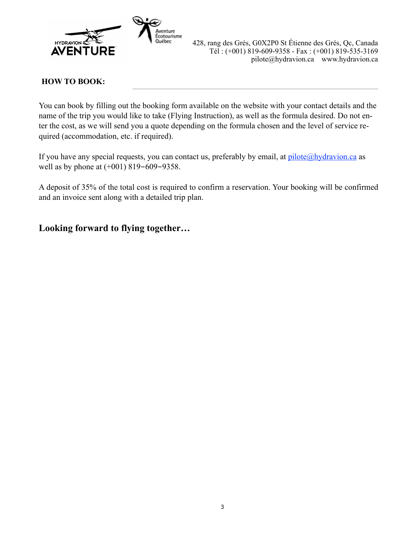

## **HOW TO BOOK:**

You can book by filling out the booking form available on the website with your contact details and the name of the trip you would like to take (Flying Instruction), as well as the formula desired. Do not enter the cost, as we will send you a quote depending on the formula chosen and the level of service required (accommodation, etc. if required).

If you have any special requests, you can contact us, preferably by email, at  $pilot \in \mathcal{Q}$  hydravion.ca as well as by phone at (+001) 819-609-9358.

A deposit of 35% of the total cost is required to confirm a reservation. Your booking will be confirmed and an invoice sent along with a detailed trip plan.

# **Looking forward to flying together…**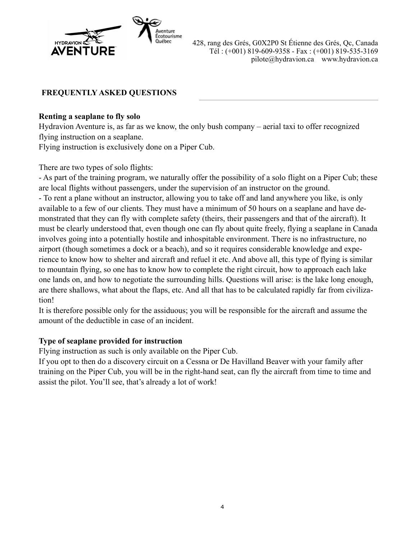

# **FREQUENTLY ASKED QUESTIONS**

## **Renting a seaplane to fly solo**

Hydravion Aventure is, as far as we know, the only bush company – aerial taxi to offer recognized flying instruction on a seaplane.

Flying instruction is exclusively done on a Piper Cub.

There are two types of solo flights:

- As part of the training program, we naturally offer the possibility of a solo flight on a Piper Cub; these are local flights without passengers, under the supervision of an instructor on the ground.

- To rent a plane without an instructor, allowing you to take off and land anywhere you like, is only available to a few of our clients. They must have a minimum of 50 hours on a seaplane and have demonstrated that they can fly with complete safety (theirs, their passengers and that of the aircraft). It must be clearly understood that, even though one can fly about quite freely, flying a seaplane in Canada involves going into a potentially hostile and inhospitable environment. There is no infrastructure, no airport (though sometimes a dock or a beach), and so it requires considerable knowledge and experience to know how to shelter and aircraft and refuel it etc. And above all, this type of flying is similar to mountain flying, so one has to know how to complete the right circuit, how to approach each lake one lands on, and how to negotiate the surrounding hills. Questions will arise: is the lake long enough, are there shallows, what about the flaps, etc. And all that has to be calculated rapidly far from civilization!

It is therefore possible only for the assiduous; you will be responsible for the aircraft and assume the amount of the deductible in case of an incident.

## **Type of seaplane provided for instruction**

Flying instruction as such is only available on the Piper Cub.

If you opt to then do a discovery circuit on a Cessna or De Havilland Beaver with your family after training on the Piper Cub, you will be in the right-hand seat, can fly the aircraft from time to time and assist the pilot. You'll see, that's already a lot of work!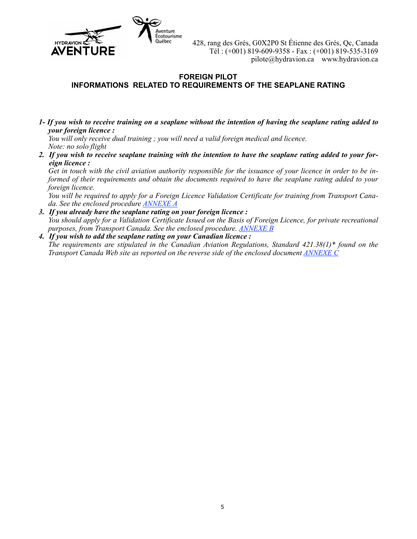

#### **FOREIGN PILOT INFORMATIONS RELATED TO REQUIREMENTS OF THE SEAPLANE RATING**

*1- If you wish to receive training on a seaplane without the intention of having the seaplane rating added to your foreign licence :* 

*You will only receive dual training ; you will need a valid foreign medical and licence. Note: no solo flight* 

*2. If you wish to receive seaplane training with the intention to have the seaplane rating added to your foreign licence :* 

*Get in touch with the civil aviation authority responsible for the issuance of your licence in order to be informed of their requirements and obtain the documents required to have the seaplane rating added to your foreign licence.*

*You will be required to apply for a Foreign Licence Validation Certificate for training from Transport Canada. See the enclosed procedure [ANNEXE A](#page-5-0)*

- *3. If you already have the seaplane rating on your foreign licence : You should apply for a Validation Certificate Issued on the Basis of Foreign Licence, for private recreational purposes, from Transport Canada. See the enclosed procedure. [ANNEXE B](#page-6-0)*
- *4. If you wish to add the seaplane rating on your Canadian licence : The requirements are stipulated in the Canadian Aviation Regulations, Standard 421.38(1)\* found on the Transport Canada Web site as reported on the reverse side of the enclosed document [ANNEXE C](#page-7-0)*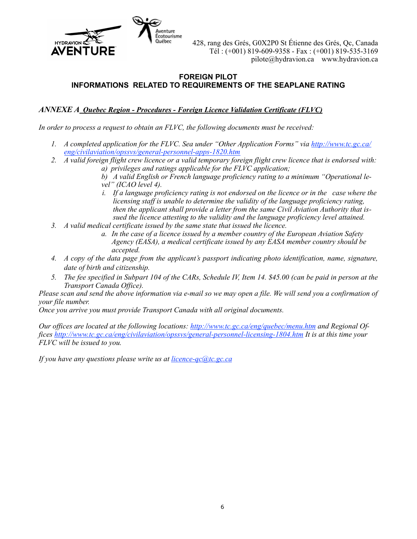

#### **FOREIGN PILOT INFORMATIONS RELATED TO REQUIREMENTS OF THE SEAPLANE RATING**

<span id="page-5-0"></span>*ANNEXE A Quebec Region - Procedures - Foreign Licence Validation Certificate (FLVC)*

*In order to process a request to obtain an FLVC, the following documents must be received:* 

- *1. A completed application for the FLVC. Sea under "Other Application Forms" via [http://www.tc.gc.ca/](http://www.tc.gc.ca/eng/civilaviation/opssvs/general-personnel-apps-1820.htm) [eng/civilaviation/opssvs/general-personnel-apps-1820.htm](http://www.tc.gc.ca/eng/civilaviation/opssvs/general-personnel-apps-1820.htm)*
- *2. A valid foreign flight crew licence or a valid temporary foreign flight crew licence that is endorsed with: a) privileges and ratings applicable for the FLVC application;*

*b) A valid English or French language proficiency rating to a minimum "Operational level" (ICAO level 4).* 

- *i. If a language proficiency rating is not endorsed on the licence or in the case where the licensing staff is unable to determine the validity of the language proficiency rating, then the applicant shall provide a letter from the same Civil Aviation Authority that issued the licence attesting to the validity and the language proficiency level attained.*
- *3. A valid medical certificate issued by the same state that issued the licence.* 
	- *a. In the case of a licence issued by a member country of the European Aviation Safety Agency (EASA), a medical certificate issued by any EASA member country should be accepted.*
- *4. A copy of the data page from the applicant's passport indicating photo identification, name, signature, date of birth and citizenship.*
- *5. The fee specified in Subpart 104 of the CARs, Schedule IV, Item 14. \$45.00 (can be paid in person at the Transport Canada Office).*

*Please scan and send the above information via e-mail so we may open a file. We will send you a confirmation of your file number.* 

*Once you arrive you must provide Transport Canada with all original documents.* 

*Our offices are located at the following locations:<http://www.tc.gc.ca/eng/quebec/menu.htm>and Regional Offices <http://www.tc.gc.ca/eng/civilaviation/opssvs/general-personnel-licensing-1804.htm> It is at this time your FLVC will be issued to you.* 

*If you have any questions please write us at [licence-qc@tc.gc.ca](mailto:licence-qc@tc.gc.ca)*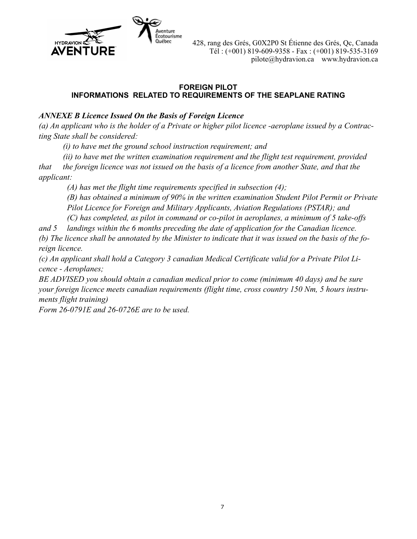

#### **FOREIGN PILOT INFORMATIONS RELATED TO REQUIREMENTS OF THE SEAPLANE RATING**

## <span id="page-6-0"></span>*ANNEXE B Licence Issued On the Basis of Foreign Licence*

*(a) An applicant who is the holder of a Private or higher pilot licence -aeroplane issued by a Contracting State shall be considered:* 

 *(i) to have met the ground school instruction requirement; and* 

 *(ii) to have met the written examination requirement and the flight test requirement, provided that the foreign licence was not issued on the basis of a licence from another State, and that the applicant:* 

 *(A) has met the flight time requirements specified in subsection (4);* 

 *(B) has obtained a minimum of 90% in the written examination Student Pilot Permit or Private Pilot Licence for Foreign and Military Applicants, Aviation Regulations (PSTAR); and* 

 *(C) has completed, as pilot in command or co-pilot in aeroplanes, a minimum of 5 take-offs* 

*and 5 landings within the 6 months preceding the date of application for the Canadian licence. (b) The licence shall be annotated by the Minister to indicate that it was issued on the basis of the foreign licence.* 

*(c) An applicant shall hold a Category 3 canadian Medical Certificate valid for a Private Pilot Licence - Aeroplanes;* 

*BE ADVISED you should obtain a canadian medical prior to come (minimum 40 days) and be sure your foreign licence meets canadian requirements (flight time, cross country 150 Nm, 5 hours instruments flight training)* 

*Form 26-0791E and 26-0726E are to be used.*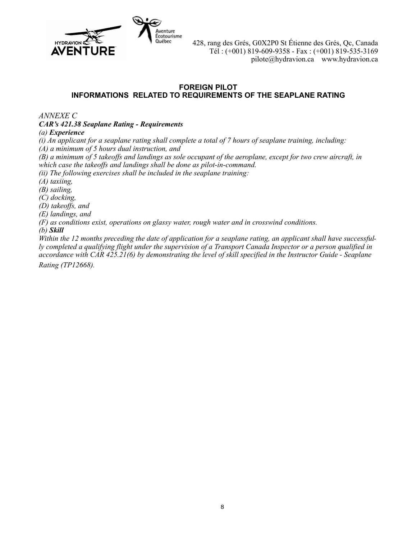

#### **FOREIGN PILOT INFORMATIONS RELATED TO REQUIREMENTS OF THE SEAPLANE RATING**

<span id="page-7-0"></span>*ANNEXE C* 

*CAR's 421.38 Seaplane Rating - Requirements*

#### *(a) Experience*

*(i) An applicant for a seaplane rating shall complete a total of 7 hours of seaplane training, including: (A) a minimum of 5 hours dual instruction, and* 

*(B) a minimum of 5 takeoffs and landings as sole occupant of the aeroplane, except for two crew aircraft, in which case the takeoffs and landings shall be done as pilot-in-command.* 

*(ii) The following exercises shall be included in the seaplane training:* 

*(A) taxiing,* 

*(B) sailing,* 

*(C) docking,* 

*(D) takeoffs, and* 

*(E) landings, and* 

*(F) as conditions exist, operations on glassy water, rough water and in crosswind conditions.* 

*(b) Skill*

*Within the 12 months preceding the date of application for a seaplane rating, an applicant shall have successfully completed a qualifying flight under the supervision of a Transport Canada Inspector or a person qualified in accordance with CAR 425.21(6) by demonstrating the level of skill specified in the Instructor Guide - Seaplane* 

*Rating (TP12668).*